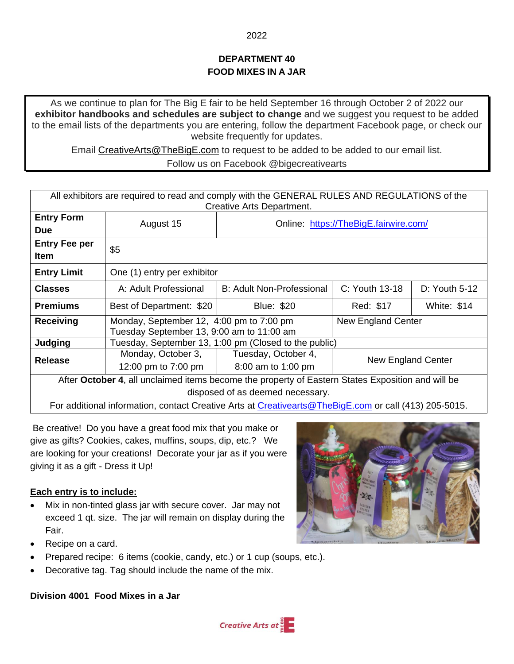# **DEPARTMENT 40 FOOD MIXES IN A JAR**

As we continue to plan for The Big E fair to be held September 16 through October 2 of 2022 our **exhibitor handbooks and schedules are subject to change** and we suggest you request to be added to the email lists of the departments you are entering, follow the department Facebook page, or check our website frequently for updates.

Email [CreativeArts@TheBigE.com](mailto:CreativeArts@TheBigE.com) to request to be added to be added to our email list.

#### Follow us on Facebook @bigecreativearts

| All exhibitors are required to read and comply with the GENERAL RULES AND REGULATIONS of the<br>Creative Arts Department. |                                                                                       |                                       |                           |                    |
|---------------------------------------------------------------------------------------------------------------------------|---------------------------------------------------------------------------------------|---------------------------------------|---------------------------|--------------------|
| <b>Entry Form</b><br><b>Due</b>                                                                                           | August 15                                                                             | Online: https://TheBigE.fairwire.com/ |                           |                    |
| <b>Entry Fee per</b><br><b>Item</b>                                                                                       | \$5                                                                                   |                                       |                           |                    |
| <b>Entry Limit</b>                                                                                                        | One (1) entry per exhibitor                                                           |                                       |                           |                    |
| <b>Classes</b>                                                                                                            | A: Adult Professional                                                                 | B: Adult Non-Professional             | $C:$ Youth 13-18          | $D:$ Youth 5-12    |
| <b>Premiums</b>                                                                                                           | Best of Department: \$20                                                              | <b>Blue: \$20</b>                     | Red: \$17                 | <b>White: \$14</b> |
| <b>Receiving</b>                                                                                                          | Monday, September 12, 4:00 pm to 7:00 pm<br>Tuesday September 13, 9:00 am to 11:00 am |                                       | New England Center        |                    |
| Judging                                                                                                                   | Tuesday, September 13, 1:00 pm (Closed to the public)                                 |                                       |                           |                    |
| <b>Release</b>                                                                                                            | Monday, October 3,                                                                    | Tuesday, October 4,                   | <b>New England Center</b> |                    |
|                                                                                                                           | 12:00 pm to 7:00 pm                                                                   | 8:00 am to 1:00 pm                    |                           |                    |
| After October 4, all unclaimed items become the property of Eastern States Exposition and will be                         |                                                                                       |                                       |                           |                    |
| disposed of as deemed necessary.                                                                                          |                                                                                       |                                       |                           |                    |
| For additional information, contact Creative Arts at Creativearts@TheBigE.com or call (413) 205-5015.                     |                                                                                       |                                       |                           |                    |

Be creative! Do you have a great food mix that you make or give as gifts? Cookies, cakes, muffins, soups, dip, etc.? We are looking for your creations! Decorate your jar as if you were giving it as a gift - Dress it Up!

### **Each entry is to include:**

- Mix in non-tinted glass jar with secure cover. Jar may not exceed 1 qt. size. The jar will remain on display during the Fair.
- Recipe on a card.
- Prepared recipe: 6 items (cookie, candy, etc.) or 1 cup (soups, etc.).
- Decorative tag. Tag should include the name of the mix.

**Division 4001 Food Mixes in a Jar**